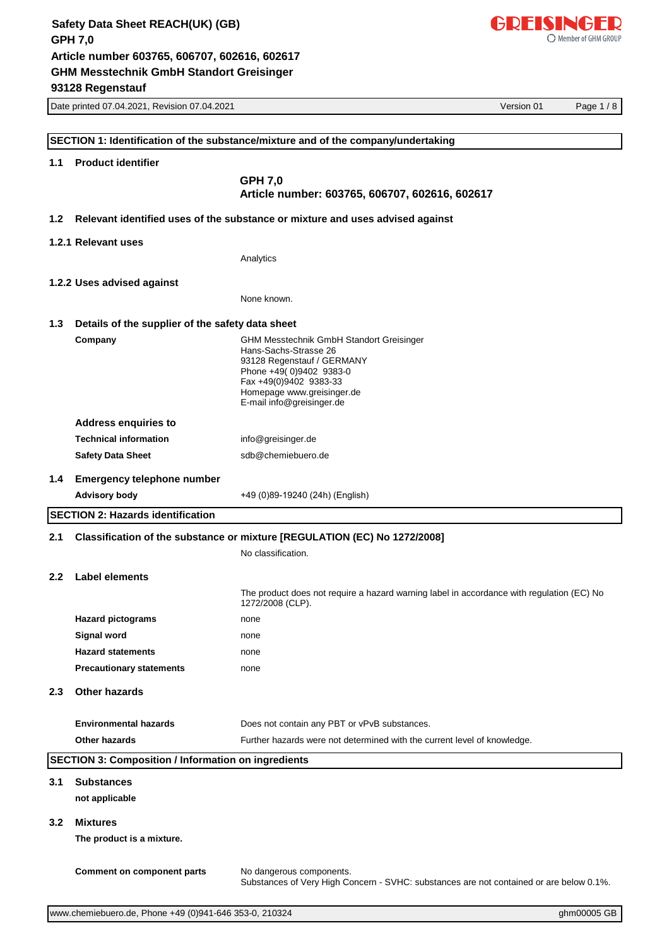

|                  | 931Z0 Reyenstaur<br>Date printed 07.04.2021, Revision 07.04.2021 |                                                                                                                     | Version 01 | Page 1/8 |
|------------------|------------------------------------------------------------------|---------------------------------------------------------------------------------------------------------------------|------------|----------|
|                  |                                                                  |                                                                                                                     |            |          |
|                  |                                                                  | SECTION 1: Identification of the substance/mixture and of the company/undertaking                                   |            |          |
| 1.1              | <b>Product identifier</b>                                        |                                                                                                                     |            |          |
|                  |                                                                  | <b>GPH 7,0</b>                                                                                                      |            |          |
|                  |                                                                  | Article number: 603765, 606707, 602616, 602617                                                                      |            |          |
| 1.2 <sub>2</sub> |                                                                  | Relevant identified uses of the substance or mixture and uses advised against                                       |            |          |
|                  | 1.2.1 Relevant uses                                              |                                                                                                                     |            |          |
|                  |                                                                  | Analytics                                                                                                           |            |          |
|                  | 1.2.2 Uses advised against                                       |                                                                                                                     |            |          |
|                  |                                                                  | None known.                                                                                                         |            |          |
|                  |                                                                  |                                                                                                                     |            |          |
| 1.3              | Details of the supplier of the safety data sheet                 |                                                                                                                     |            |          |
|                  | Company                                                          | GHM Messtechnik GmbH Standort Greisinger<br>Hans-Sachs-Strasse 26                                                   |            |          |
|                  |                                                                  | 93128 Regenstauf / GERMANY<br>Phone +49(0)9402 9383-0                                                               |            |          |
|                  |                                                                  | Fax +49(0)9402 9383-33                                                                                              |            |          |
|                  |                                                                  | Homepage www.greisinger.de<br>E-mail info@greisinger.de                                                             |            |          |
|                  | <b>Address enquiries to</b>                                      |                                                                                                                     |            |          |
|                  | <b>Technical information</b>                                     | info@greisinger.de                                                                                                  |            |          |
|                  | <b>Safety Data Sheet</b>                                         | sdb@chemiebuero.de                                                                                                  |            |          |
|                  |                                                                  |                                                                                                                     |            |          |
| 1.4              | <b>Emergency telephone number</b>                                |                                                                                                                     |            |          |
|                  | <b>Advisory body</b>                                             | +49 (0)89-19240 (24h) (English)                                                                                     |            |          |
|                  | <b>SECTION 2: Hazards identification</b>                         |                                                                                                                     |            |          |
| 2.1              |                                                                  | Classification of the substance or mixture [REGULATION (EC) No 1272/2008]                                           |            |          |
|                  |                                                                  | No classification.                                                                                                  |            |          |
| $2.2^{\circ}$    | <b>Label elements</b>                                            |                                                                                                                     |            |          |
|                  |                                                                  | The product does not require a hazard warning label in accordance with regulation (EC) No<br>1272/2008 (CLP).       |            |          |
|                  | <b>Hazard pictograms</b>                                         | none                                                                                                                |            |          |
|                  | <b>Signal word</b>                                               | none                                                                                                                |            |          |
|                  | <b>Hazard statements</b>                                         | none                                                                                                                |            |          |
|                  | <b>Precautionary statements</b>                                  | none                                                                                                                |            |          |
| 2.3              | <b>Other hazards</b>                                             |                                                                                                                     |            |          |
|                  |                                                                  |                                                                                                                     |            |          |
|                  | <b>Environmental hazards</b>                                     | Does not contain any PBT or vPvB substances.                                                                        |            |          |
|                  | Other hazards                                                    | Further hazards were not determined with the current level of knowledge.                                            |            |          |
|                  | <b>SECTION 3: Composition / Information on ingredients</b>       |                                                                                                                     |            |          |
| 3.1              | <b>Substances</b>                                                |                                                                                                                     |            |          |
|                  | not applicable                                                   |                                                                                                                     |            |          |
| 3.2              | <b>Mixtures</b>                                                  |                                                                                                                     |            |          |
|                  | The product is a mixture.                                        |                                                                                                                     |            |          |
|                  |                                                                  |                                                                                                                     |            |          |
|                  | <b>Comment on component parts</b>                                | No dangerous components.<br>Substances of Very High Concern - SVHC: substances are not contained or are below 0.1%. |            |          |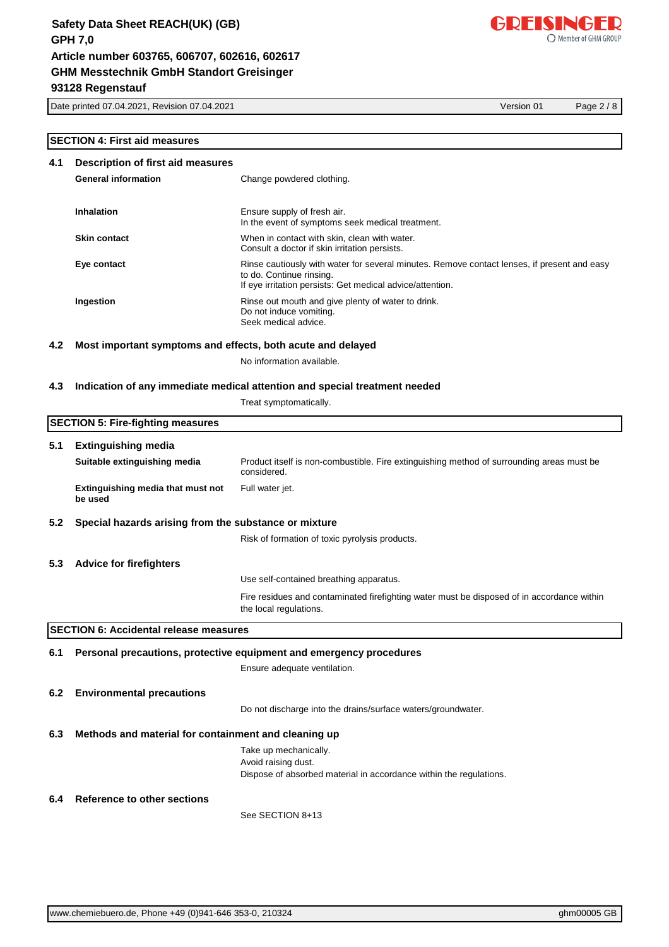Date printed 07.04.2021, Revision 07.04.2021 Version 01 Page 2 / 8

# **SECTION 4: First aid measures**

| 4.1 | <b>Description of first aid measures</b>                    |                                                                                                                                                                                      |
|-----|-------------------------------------------------------------|--------------------------------------------------------------------------------------------------------------------------------------------------------------------------------------|
|     | <b>General information</b>                                  | Change powdered clothing.                                                                                                                                                            |
|     | <b>Inhalation</b>                                           | Ensure supply of fresh air.<br>In the event of symptoms seek medical treatment.                                                                                                      |
|     | <b>Skin contact</b>                                         | When in contact with skin, clean with water.<br>Consult a doctor if skin irritation persists.                                                                                        |
|     | Eye contact                                                 | Rinse cautiously with water for several minutes. Remove contact lenses, if present and easy<br>to do. Continue rinsing.<br>If eye irritation persists: Get medical advice/attention. |
|     | Ingestion                                                   | Rinse out mouth and give plenty of water to drink.<br>Do not induce vomiting.<br>Seek medical advice.                                                                                |
| 4.2 | Most important symptoms and effects, both acute and delayed |                                                                                                                                                                                      |
|     |                                                             | No information available.                                                                                                                                                            |
| 4.3 |                                                             | Indication of any immediate medical attention and special treatment needed                                                                                                           |
|     |                                                             | Treat symptomatically.                                                                                                                                                               |
|     |                                                             |                                                                                                                                                                                      |
|     | <b>SECTION 5: Fire-fighting measures</b>                    |                                                                                                                                                                                      |
| 5.1 | <b>Extinguishing media</b>                                  |                                                                                                                                                                                      |
|     | Suitable extinguishing media                                | Product itself is non-combustible. Fire extinguishing method of surrounding areas must be<br>considered.                                                                             |
|     | Extinguishing media that must not<br>be used                | Full water jet.                                                                                                                                                                      |
| 5.2 | Special hazards arising from the substance or mixture       |                                                                                                                                                                                      |
|     |                                                             | Risk of formation of toxic pyrolysis products.                                                                                                                                       |
| 5.3 | <b>Advice for firefighters</b>                              |                                                                                                                                                                                      |
|     |                                                             | Use self-contained breathing apparatus.                                                                                                                                              |
|     |                                                             | Fire residues and contaminated firefighting water must be disposed of in accordance within<br>the local regulations.                                                                 |
|     | <b>SECTION 6: Accidental release measures</b>               |                                                                                                                                                                                      |
| 6.1 |                                                             | Personal precautions, protective equipment and emergency procedures                                                                                                                  |
|     |                                                             | Ensure adequate ventilation.                                                                                                                                                         |
| 6.2 | <b>Environmental precautions</b>                            |                                                                                                                                                                                      |
|     |                                                             | Do not discharge into the drains/surface waters/groundwater.                                                                                                                         |
| 6.3 | Methods and material for containment and cleaning up        |                                                                                                                                                                                      |
|     |                                                             | Take up mechanically.                                                                                                                                                                |
|     |                                                             | Avoid raising dust.                                                                                                                                                                  |
|     |                                                             | Dispose of absorbed material in accordance within the regulations.                                                                                                                   |
|     |                                                             |                                                                                                                                                                                      |

## **6.4 Reference to other sections**

See SECTION 8+13

GREISINGER ◯ Member of GHM GROUP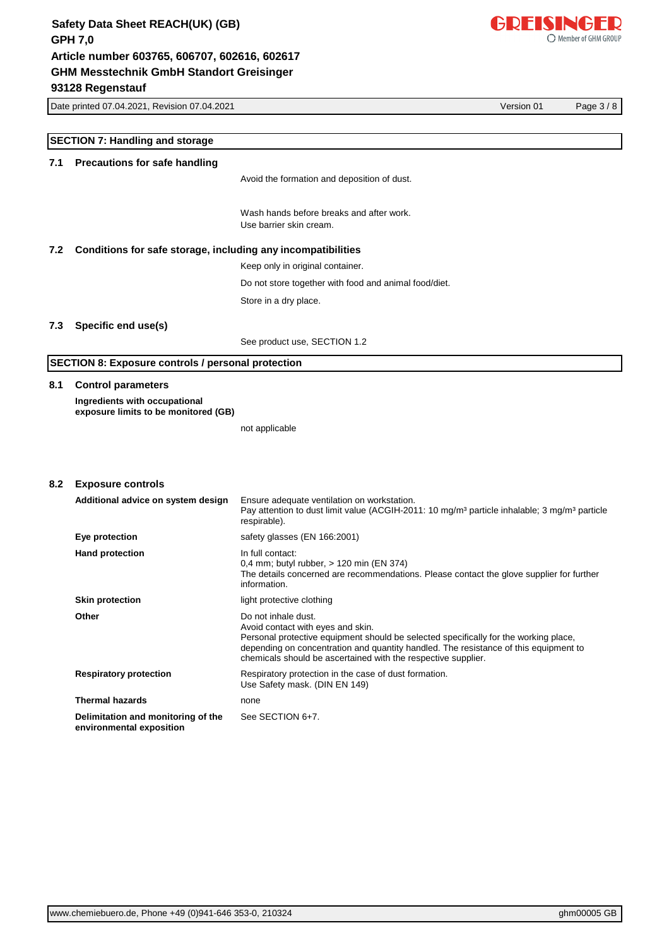

Date printed 07.04.2021, Revision 07.04.2021 Version 01 Page 3 / 8

|     | <b>SECTION 7: Handling and storage</b>                         |                                                                                                                                                                                                                                                                                                           |  |  |
|-----|----------------------------------------------------------------|-----------------------------------------------------------------------------------------------------------------------------------------------------------------------------------------------------------------------------------------------------------------------------------------------------------|--|--|
| 7.1 | <b>Precautions for safe handling</b>                           |                                                                                                                                                                                                                                                                                                           |  |  |
|     |                                                                | Avoid the formation and deposition of dust.                                                                                                                                                                                                                                                               |  |  |
|     |                                                                | Wash hands before breaks and after work.                                                                                                                                                                                                                                                                  |  |  |
|     |                                                                | Use barrier skin cream.                                                                                                                                                                                                                                                                                   |  |  |
| 7.2 | Conditions for safe storage, including any incompatibilities   |                                                                                                                                                                                                                                                                                                           |  |  |
|     |                                                                | Keep only in original container.                                                                                                                                                                                                                                                                          |  |  |
|     |                                                                | Do not store together with food and animal food/diet.                                                                                                                                                                                                                                                     |  |  |
|     |                                                                | Store in a dry place.                                                                                                                                                                                                                                                                                     |  |  |
| 7.3 | Specific end use(s)                                            |                                                                                                                                                                                                                                                                                                           |  |  |
|     |                                                                | See product use, SECTION 1.2                                                                                                                                                                                                                                                                              |  |  |
|     | <b>SECTION 8: Exposure controls / personal protection</b>      |                                                                                                                                                                                                                                                                                                           |  |  |
|     |                                                                |                                                                                                                                                                                                                                                                                                           |  |  |
| 8.1 | <b>Control parameters</b><br>Ingredients with occupational     |                                                                                                                                                                                                                                                                                                           |  |  |
|     | exposure limits to be monitored (GB)                           |                                                                                                                                                                                                                                                                                                           |  |  |
|     |                                                                | not applicable                                                                                                                                                                                                                                                                                            |  |  |
|     |                                                                |                                                                                                                                                                                                                                                                                                           |  |  |
|     |                                                                |                                                                                                                                                                                                                                                                                                           |  |  |
| 8.2 | <b>Exposure controls</b>                                       |                                                                                                                                                                                                                                                                                                           |  |  |
|     | Additional advice on system design                             | Ensure adequate ventilation on workstation.<br>Pay attention to dust limit value (ACGIH-2011: 10 mg/m <sup>3</sup> particle inhalable; 3 mg/m <sup>3</sup> particle<br>respirable).                                                                                                                       |  |  |
|     | Eye protection                                                 | safety glasses (EN 166:2001)                                                                                                                                                                                                                                                                              |  |  |
|     | <b>Hand protection</b>                                         | In full contact:<br>0,4 mm; butyl rubber, > 120 min (EN 374)<br>The details concerned are recommendations. Please contact the glove supplier for further<br>information.                                                                                                                                  |  |  |
|     | <b>Skin protection</b>                                         | light protective clothing                                                                                                                                                                                                                                                                                 |  |  |
|     | Other                                                          | Do not inhale dust.<br>Avoid contact with eyes and skin.<br>Personal protective equipment should be selected specifically for the working place,<br>depending on concentration and quantity handled. The resistance of this equipment to<br>chemicals should be ascertained with the respective supplier. |  |  |
|     | <b>Respiratory protection</b>                                  | Respiratory protection in the case of dust formation.<br>Use Safety mask. (DIN EN 149)                                                                                                                                                                                                                    |  |  |
|     | <b>Thermal hazards</b>                                         | none                                                                                                                                                                                                                                                                                                      |  |  |
|     | Delimitation and monitoring of the<br>environmental exposition | See SECTION 6+7.                                                                                                                                                                                                                                                                                          |  |  |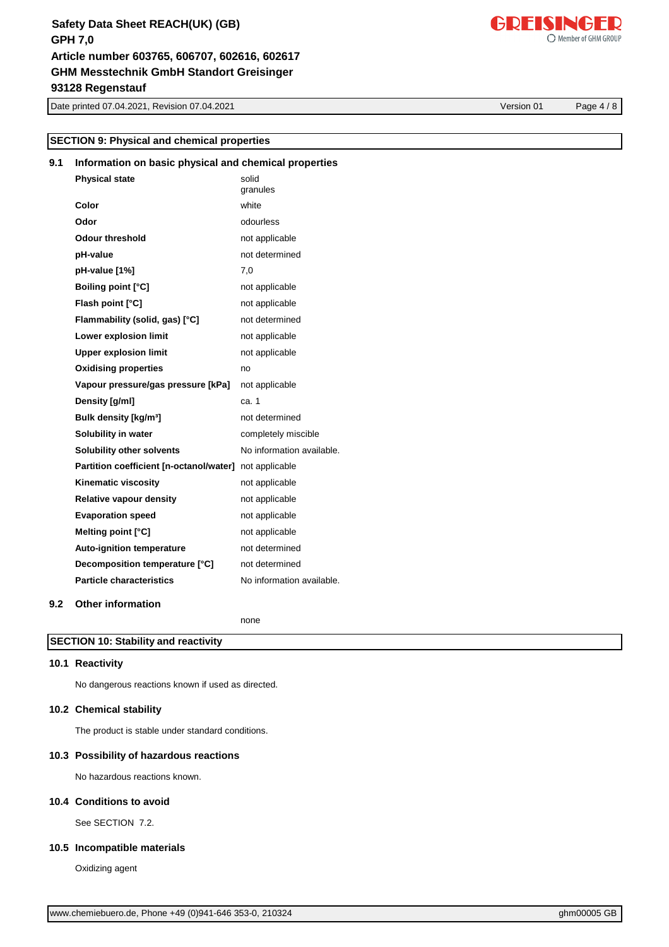Date printed 07.04.2021, Revision 07.04.2021 Version 01 Page 4 / 8

# **SECTION 9: Physical and chemical properties**

# **9.1 Information on basic physical and chemical properties**

| <b>Physical state</b>                                  | solid<br>granules         |
|--------------------------------------------------------|---------------------------|
| Color                                                  | white                     |
| Odor                                                   | odourless                 |
| <b>Odour threshold</b>                                 | not applicable            |
| pH-value                                               | not determined            |
| pH-value [1%]                                          | 7,0                       |
| <b>Boiling point [°C]</b>                              | not applicable            |
| Flash point [°C]                                       | not applicable            |
| Flammability (solid, gas) [°C]                         | not determined            |
| Lower explosion limit                                  | not applicable            |
| <b>Upper explosion limit</b>                           | not applicable            |
| <b>Oxidising properties</b>                            | no                        |
| Vapour pressure/gas pressure [kPa]                     | not applicable            |
| Density [g/ml]                                         | ca. 1                     |
| Bulk density [kg/m <sup>3</sup> ]                      | not determined            |
| Solubility in water                                    | completely miscible       |
| <b>Solubility other solvents</b>                       | No information available. |
| Partition coefficient [n-octanol/water] not applicable |                           |
| <b>Kinematic viscosity</b>                             | not applicable            |
| <b>Relative vapour density</b>                         | not applicable            |
| <b>Evaporation speed</b>                               | not applicable            |
| Melting point [°C]                                     | not applicable            |
| <b>Auto-ignition temperature</b>                       | not determined            |
| Decomposition temperature [°C]                         | not determined            |
| <b>Particle characteristics</b>                        | No information available. |
|                                                        |                           |

# **9.2 Other information**

none

## **SECTION 10: Stability and reactivity**

# **10.1 Reactivity**

No dangerous reactions known if used as directed.

#### **10.2 Chemical stability**

The product is stable under standard conditions.

## **10.3 Possibility of hazardous reactions**

No hazardous reactions known.

#### **10.4 Conditions to avoid**

See SECTION 7.2.

#### **10.5 Incompatible materials**

Oxidizing agent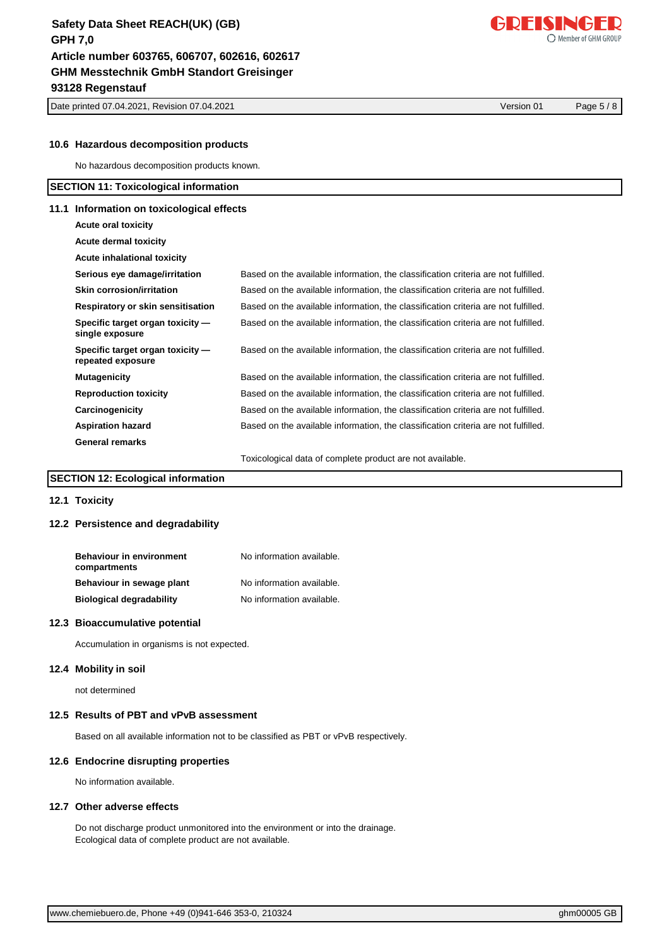Date printed 07.04.2021, Revision 07.04.2021 Version 01 Page 5 / 8

#### **10.6 Hazardous decomposition products**

No hazardous decomposition products known.

#### **SECTION 11: Toxicological information**

#### **11.1 Information on toxicological effects**

| <b>Acute oral toxicity</b>                            |                                                                                    |
|-------------------------------------------------------|------------------------------------------------------------------------------------|
| <b>Acute dermal toxicity</b>                          |                                                                                    |
| Acute inhalational toxicity                           |                                                                                    |
| Serious eye damage/irritation                         | Based on the available information, the classification criteria are not fulfilled. |
| Skin corrosion/irritation                             | Based on the available information, the classification criteria are not fulfilled. |
| Respiratory or skin sensitisation                     | Based on the available information, the classification criteria are not fulfilled. |
| Specific target organ toxicity -<br>single exposure   | Based on the available information, the classification criteria are not fulfilled. |
| Specific target organ toxicity -<br>repeated exposure | Based on the available information, the classification criteria are not fulfilled. |
| <b>Mutagenicity</b>                                   | Based on the available information, the classification criteria are not fulfilled. |
| <b>Reproduction toxicity</b>                          | Based on the available information, the classification criteria are not fulfilled. |
| Carcinogenicity                                       | Based on the available information, the classification criteria are not fulfilled. |
| <b>Aspiration hazard</b>                              | Based on the available information, the classification criteria are not fulfilled. |
| <b>General remarks</b>                                |                                                                                    |
|                                                       | Toxicological data of complete product are not available.                          |

## **SECTION 12: Ecological information**

#### **12.1 Toxicity**

## **12.2 Persistence and degradability**

| <b>Behaviour in environment</b><br>compartments | No information available. |
|-------------------------------------------------|---------------------------|
| Behaviour in sewage plant                       | No information available. |
| <b>Biological degradability</b>                 | No information available. |

#### **12.3 Bioaccumulative potential**

Accumulation in organisms is not expected.

#### **12.4 Mobility in soil**

not determined

#### **12.5 Results of PBT and vPvB assessment**

Based on all available information not to be classified as PBT or vPvB respectively.

#### **12.6 Endocrine disrupting properties**

No information available.

#### **12.7 Other adverse effects**

Do not discharge product unmonitored into the environment or into the drainage. Ecological data of complete product are not available.

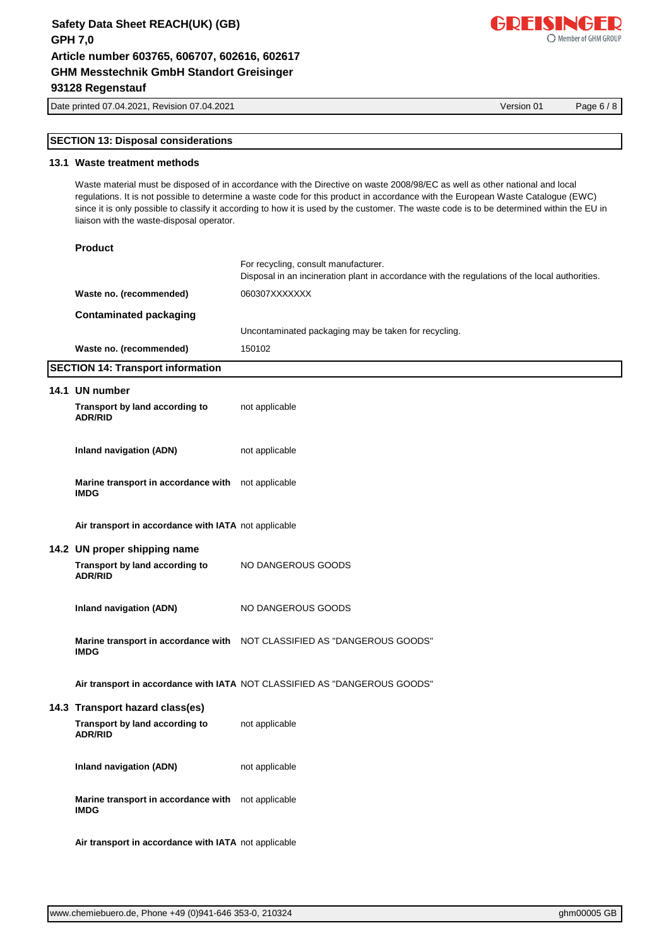Date printed 07.04.2021, Revision 07.04.2021 Version 01 Page 6 / 8

[www.chemiebuero.de](http://www.chemiebuero.de), Phone +49 (0)941-646 353-0, 210324 ghm0005 GB

# **SECTION 13: Disposal considerations**

## **13.1 Waste treatment methods**

**Product**

Waste material must be disposed of in accordance with the Directive on waste 2008/98/EC as well as other national and local regulations. It is not possible to determine a waste code for this product in accordance with the European Waste Catalogue (EWC) since it is only possible to classify it according to how it is used by the customer. The waste code is to be determined within the EU in liaison with the waste-disposal operator.

|                                                                   | For recycling, consult manufacturer.<br>Disposal in an incineration plant in accordance with the regulations of the local authorities. |
|-------------------------------------------------------------------|----------------------------------------------------------------------------------------------------------------------------------------|
| Waste no. (recommended)                                           | 060307XXXXXXX                                                                                                                          |
| <b>Contaminated packaging</b>                                     |                                                                                                                                        |
|                                                                   | Uncontaminated packaging may be taken for recycling.                                                                                   |
| Waste no. (recommended)                                           | 150102                                                                                                                                 |
| <b>SECTION 14: Transport information</b>                          |                                                                                                                                        |
| 14.1 UN number                                                    |                                                                                                                                        |
| Transport by land according to<br><b>ADR/RID</b>                  | not applicable                                                                                                                         |
| <b>Inland navigation (ADN)</b>                                    | not applicable                                                                                                                         |
| Marine transport in accordance with not applicable<br><b>IMDG</b> |                                                                                                                                        |
| Air transport in accordance with IATA not applicable              |                                                                                                                                        |
| 14.2 UN proper shipping name                                      |                                                                                                                                        |
| Transport by land according to<br><b>ADR/RID</b>                  | NO DANGEROUS GOODS                                                                                                                     |
| Inland navigation (ADN)                                           | NO DANGEROUS GOODS                                                                                                                     |

**Marine transport in accordance with**  NOT CLASSIFIED AS "DANGEROUS GOODS" **IMDG**

**Air transport in accordance with IATA** NOT CLASSIFIED AS "DANGEROUS GOODS"

## **14.3 Transport hazard class(es)**

| Transport by land according to<br><b>ADR/RID</b>   | not applicable |
|----------------------------------------------------|----------------|
| Inland navigation (ADN)                            | not applicable |
| Marine transport in accordance with<br><b>IMDG</b> | not applicable |

**Air transport in accordance with IATA** not applicable

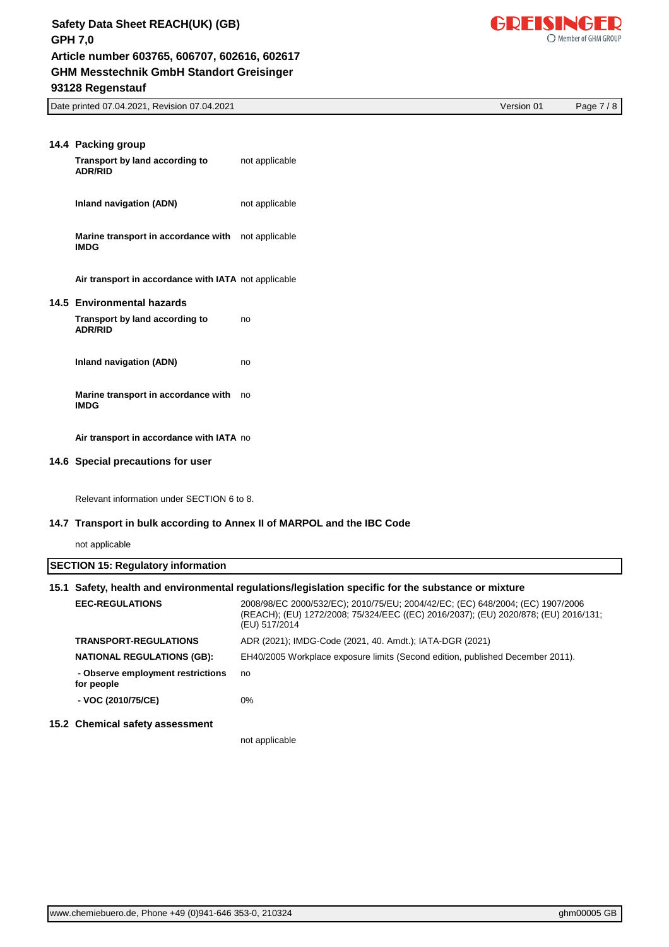

Date printed 07.04.2021, Revision 07.04.2021 Version 01 Page 7 / 8

| 14.4 Packing group<br>Transport by land according to<br><b>ADR/RID</b> | not applicable |
|------------------------------------------------------------------------|----------------|
| Inland navigation (ADN)                                                | not applicable |
| Marine transport in accordance with not applicable<br><b>IMDG</b>      |                |
| Air transport in accordance with IATA not applicable                   |                |
| 14.5 Environmental hazards                                             |                |
| Transport by land according to<br><b>ADR/RID</b>                       | no             |
| Inland navigation (ADN)                                                | no             |
| Marine transport in accordance with<br><b>IMDG</b>                     | no             |
| Air transport in accordance with IATA no                               |                |
| $\sim$ $\sim$ $\sim$ $\sim$                                            |                |

**14.6 Special precautions for user**

Relevant information under SECTION 6 to 8.

## **14.7 Transport in bulk according to Annex II of MARPOL and the IBC Code**

not applicable

| 15.1 Safety, health and environmental regulations/legislation specific for the substance or mixture |                                                                                                                                                                                        |  |
|-----------------------------------------------------------------------------------------------------|----------------------------------------------------------------------------------------------------------------------------------------------------------------------------------------|--|
| <b>EEC-REGULATIONS</b>                                                                              | 2008/98/EC 2000/532/EC); 2010/75/EU; 2004/42/EC; (EC) 648/2004; (EC) 1907/2006<br>(REACH); (EU) 1272/2008; 75/324/EEC ((EC) 2016/2037); (EU) 2020/878; (EU) 2016/131;<br>(EU) 517/2014 |  |
| <b>TRANSPORT-REGULATIONS</b>                                                                        | ADR (2021); IMDG-Code (2021, 40. Amdt.); IATA-DGR (2021)                                                                                                                               |  |
| <b>NATIONAL REGULATIONS (GB):</b>                                                                   | EH40/2005 Workplace exposure limits (Second edition, published December 2011).                                                                                                         |  |
| - Observe employment restrictions<br>for people                                                     | no                                                                                                                                                                                     |  |
| - VOC (2010/75/CE)                                                                                  | 0%                                                                                                                                                                                     |  |
| 15.2 Chemical safety assessment                                                                     |                                                                                                                                                                                        |  |
|                                                                                                     | not applicable                                                                                                                                                                         |  |